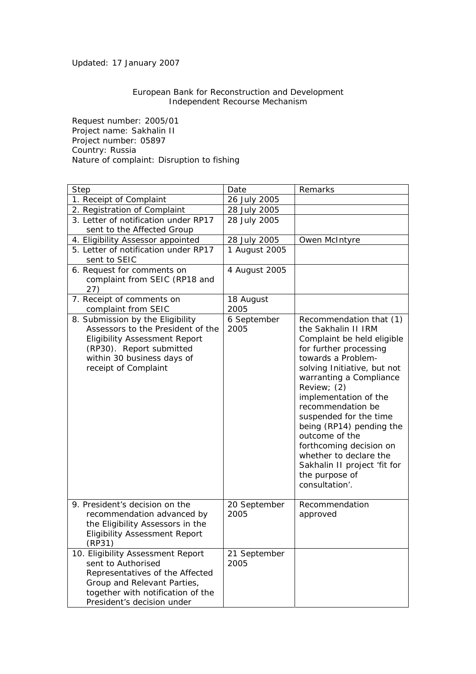Updated: 17 January 2007

## European Bank for Reconstruction and Development Independent Recourse Mechanism

Request number: 2005/01 Project name: Sakhalin II Project number: 05897 Country: Russia Nature of complaint: Disruption to fishing

| Step                                                                                                                                                                                            | Date                 | Remarks                                                                                                                                                                                                                                                                                                                                                                                                                                              |
|-------------------------------------------------------------------------------------------------------------------------------------------------------------------------------------------------|----------------------|------------------------------------------------------------------------------------------------------------------------------------------------------------------------------------------------------------------------------------------------------------------------------------------------------------------------------------------------------------------------------------------------------------------------------------------------------|
| 1. Receipt of Complaint                                                                                                                                                                         | 26 July 2005         |                                                                                                                                                                                                                                                                                                                                                                                                                                                      |
| 2. Registration of Complaint                                                                                                                                                                    | 28 July 2005         |                                                                                                                                                                                                                                                                                                                                                                                                                                                      |
| 3. Letter of notification under RP17<br>sent to the Affected Group                                                                                                                              | 28 July 2005         |                                                                                                                                                                                                                                                                                                                                                                                                                                                      |
| 4. Eligibility Assessor appointed                                                                                                                                                               | 28 July 2005         | Owen McIntyre                                                                                                                                                                                                                                                                                                                                                                                                                                        |
| 5. Letter of notification under RP17<br>sent to SEIC                                                                                                                                            | 1 August 2005        |                                                                                                                                                                                                                                                                                                                                                                                                                                                      |
| 6. Request for comments on<br>complaint from SEIC (RP18 and<br>27)                                                                                                                              | 4 August 2005        |                                                                                                                                                                                                                                                                                                                                                                                                                                                      |
| 7. Receipt of comments on<br>complaint from SEIC                                                                                                                                                | 18 August<br>2005    |                                                                                                                                                                                                                                                                                                                                                                                                                                                      |
| 8. Submission by the Eligibility<br>Assessors to the President of the<br><b>Eligibility Assessment Report</b><br>(RP30). Report submitted<br>within 30 business days of<br>receipt of Complaint | 6 September<br>2005  | Recommendation that (1)<br>the Sakhalin II IRM<br>Complaint be held eligible<br>for further processing<br>towards a Problem-<br>solving Initiative, but not<br>warranting a Compliance<br>Review; (2)<br>implementation of the<br>recommendation be<br>suspended for the time<br>being (RP14) pending the<br>outcome of the<br>forthcoming decision on<br>whether to declare the<br>Sakhalin II project 'fit for<br>the purpose of<br>consultation'. |
| 9. President's decision on the<br>recommendation advanced by<br>the Eligibility Assessors in the<br><b>Eligibility Assessment Report</b><br>(RP31)                                              | 20 September<br>2005 | Recommendation<br>approved                                                                                                                                                                                                                                                                                                                                                                                                                           |
| 10. Eligibility Assessment Report<br>sent to Authorised<br>Representatives of the Affected<br>Group and Relevant Parties,<br>together with notification of the<br>President's decision under    | 21 September<br>2005 |                                                                                                                                                                                                                                                                                                                                                                                                                                                      |